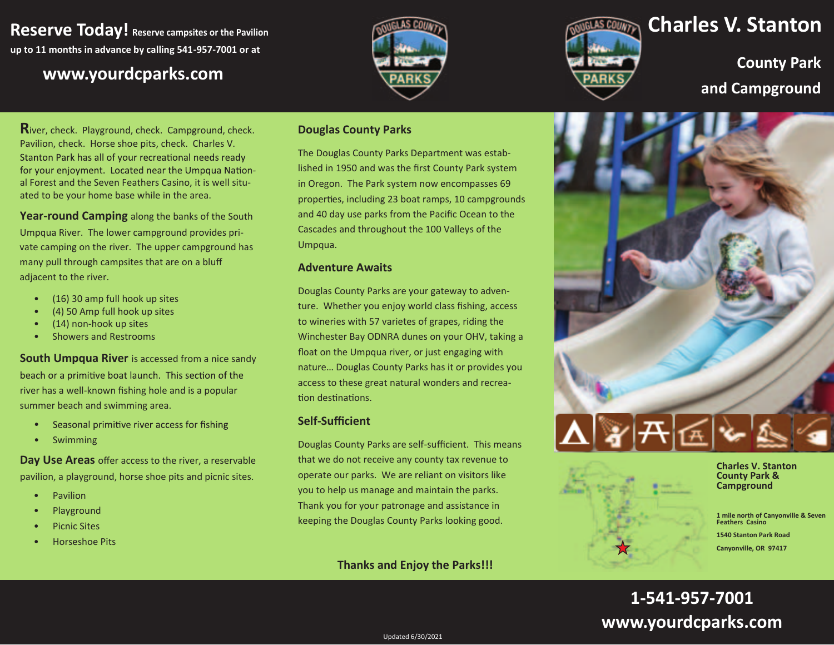# **Reserve Today! Reserve campsites or the Pavilion up to 11 months in advance by calling 541-957-7001 or at**

**<sup>w</sup> ww.yourdcparks.com**





**Charles V. Stanton**

**County Park and Campgroun d**

**R**iver, check. Playground, check. Campground, check. Pavilion, check. Horse shoe pits, check. Charles V. Stanton Park has all of your recreational needs ready for your enjoyment. Located near the Umpqua National Forest and the Seven Feathers Casino, it is well situated to be your home base while in the area.

**Year-round Camping** along the banks of the South Umpqua River. The lower campground provides private camping on the river. The upper campground has many pull through campsites that are on a bluff adjacent to the river.

- • $(16)$  30 amp full hook up sites
- •(4) 50 Amp full hook up sites
- •(14) non-hook up sites
- •Showers and Restrooms

## **South Umpqua River** is accessed from a nice sandy beach or a primitive boat launch. This section of the river has a well-known fishing hole and is a popular summer beach and swimming area.

- •Seasonal primitive river access for fishing
- •Swimming

**Day Use Areas** offer access to the river, a reservable pavilion, a playground, horse shoe pits and picnic sites.

- •Pavilion
- •Playground
- •Picnic Sites
- •Horseshoe Pits

#### **Douglas County Parks**

The Douglas County Parks Department was established in 1950 and was the first County Park system in Oregon. The Park system now encompasses 69 properties, including 23 boat ramps, 10 campgrounds and 40 day use parks from the Pacific Ocean to the Cascades and throughout the 100 Valleys of the Umpqua.

#### **Adventure Awaits**

Douglas County Parks are your gateway to adventure. Whether you enjoy world class fishing, access to wineries with 57 varietes of grapes, riding the Winchester Bay ODNRA dunes on your OHV, taking a float on the Umpqua river, or just engaging with nature… Douglas County Parks has it or provides you access to these great natural wonders and recreation destinations.

#### $Self-Sufficient$

Douglas County Parks are self-sufficient. This means that we do not receive any county tax revenue to operate our parks. We are reliant on visitors like you to help us manage and maintain the parks. Thank you for your patronage and assistance in keeping the Douglas County Parks looking good.

## **Thanks and Enjoy the Parks!!!**



**Charles V. Stanton County Park & Campground** 

**1 mile north of Canyonville & Seven Feathers Casino 1540 Stanton Park Road** 

**Canyonville, OR 97417** 

# **1-541-957-7001www.yourdcparks.com**

Updated 6/30/2021